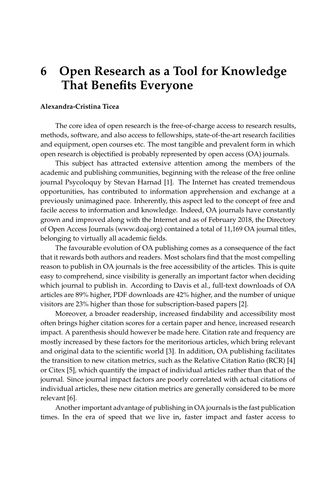## **6 Open Research as a Tool for Knowledge That Benefits Everyone**

## **Alexandra-Cristina Ticea**

The core idea of open research is the free-of-charge access to research results, methods, software, and also access to fellowships, state-of-the-art research facilities and equipment, open courses etc. The most tangible and prevalent form in which open research is objectified is probably represented by open access (OA) journals.

This subject has attracted extensive attention among the members of the academic and publishing communities, beginning with the release of the free online journal Psycoloquy by Stevan Harnad [\[1\]](#page-2-0). The Internet has created tremendous opportunities, has contributed to information apprehension and exchange at a previously unimagined pace. Inherently, this aspect led to the concept of free and facile access to information and knowledge. Indeed, OA journals have constantly grown and improved along with the Internet and as of February 2018, the Directory of Open Access Journals [\(www.doaj.org\)](www.doaj.org) contained a total of 11,169 OA journal titles, belonging to virtually all academic fields.

The favourable evolution of OA publishing comes as a consequence of the fact that it rewards both authors and readers. Most scholars find that the most compelling reason to publish in OA journals is the free accessibility of the articles. This is quite easy to comprehend, since visibility is generally an important factor when deciding which journal to publish in. According to Davis et al., full-text downloads of OA articles are 89% higher, PDF downloads are 42% higher, and the number of unique visitors are 23% higher than those for subscription-based papers [\[2\]](#page-2-1).

Moreover, a broader readership, increased findability and accessibility most often brings higher citation scores for a certain paper and hence, increased research impact. A parenthesis should however be made here. Citation rate and frequency are mostly increased by these factors for the meritorious articles, which bring relevant and original data to the scientific world [\[3\]](#page-2-2). In addition, OA publishing facilitates the transition to new citation metrics, such as the Relative Citation Ratio (RCR) [\[4\]](#page-2-3) or Citex [\[5\]](#page-2-4), which quantify the impact of individual articles rather than that of the journal. Since journal impact factors are poorly correlated with actual citations of individual articles, these new citation metrics are generally considered to be more relevant [\[6\]](#page-2-5).

Another important advantage of publishing in OA journals is the fast publication times. In the era of speed that we live in, faster impact and faster access to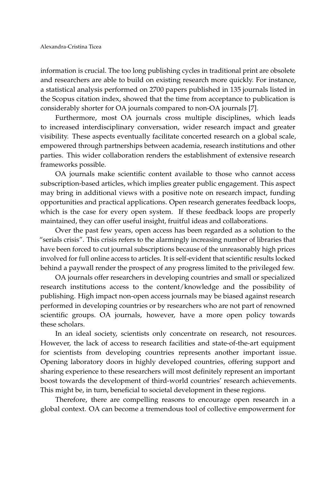information is crucial. The too long publishing cycles in traditional print are obsolete and researchers are able to build on existing research more quickly. For instance, a statistical analysis performed on 2700 papers published in 135 journals listed in the Scopus citation index, showed that the time from acceptance to publication is considerably shorter for OA journals compared to non-OA journals [\[7\]](#page-2-6).

Furthermore, most OA journals cross multiple disciplines, which leads to increased interdisciplinary conversation, wider research impact and greater visibility. These aspects eventually facilitate concerted research on a global scale, empowered through partnerships between academia, research institutions and other parties. This wider collaboration renders the establishment of extensive research frameworks possible.

OA journals make scientific content available to those who cannot access subscription-based articles, which implies greater public engagement. This aspect may bring in additional views with a positive note on research impact, funding opportunities and practical applications. Open research generates feedback loops, which is the case for every open system. If these feedback loops are properly maintained, they can offer useful insight, fruitful ideas and collaborations.

Over the past few years, open access has been regarded as a solution to the "serials crisis". This crisis refers to the alarmingly increasing number of libraries that have been forced to cut journal subscriptions because of the unreasonably high prices involved for full online access to articles. It is self-evident that scientific results locked behind a paywall render the prospect of any progress limited to the privileged few.

OA journals offer researchers in developing countries and small or specialized research institutions access to the content/knowledge and the possibility of publishing. High impact non-open access journals may be biased against research performed in developing countries or by researchers who are not part of renowned scientific groups. OA journals, however, have a more open policy towards these scholars.

In an ideal society, scientists only concentrate on research, not resources. However, the lack of access to research facilities and state-of-the-art equipment for scientists from developing countries represents another important issue. Opening laboratory doors in highly developed countries, offering support and sharing experience to these researchers will most definitely represent an important boost towards the development of third-world countries' research achievements. This might be, in turn, beneficial to societal development in these regions.

Therefore, there are compelling reasons to encourage open research in a global context. OA can become a tremendous tool of collective empowerment for